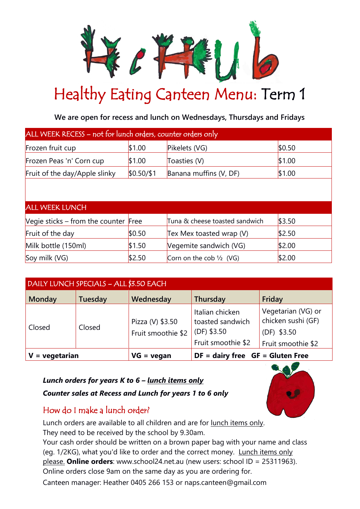

## Healthy Eating Canteen Menu: Term 1

**We are open for recess and lunch on Wednesdays, Thursdays and Fridays**

| ALL WEEK RECESS - not for lunch orders, counter orders only |            |                                              |        |  |  |  |
|-------------------------------------------------------------|------------|----------------------------------------------|--------|--|--|--|
| Frozen fruit cup                                            | \$1.00     | Pikelets (VG)                                | \$0.50 |  |  |  |
| Frozen Peas 'n' Corn cup                                    | \$1.00     | Toasties (V)                                 | \$1.00 |  |  |  |
| Fruit of the day/Apple slinky                               | \$0.50/\$1 | Banana muffins (V, DF)                       | \$1.00 |  |  |  |
|                                                             |            |                                              |        |  |  |  |
| <b>ALL WEEK LUNCH</b>                                       |            |                                              |        |  |  |  |
| Vegie sticks – from the counter $ $ Free                    |            | Tuna & cheese toasted sandwich               | \$3.50 |  |  |  |
| Fruit of the day                                            | \$0.50     | Tex Mex toasted wrap (V)                     | \$2.50 |  |  |  |
| Milk bottle (150ml)                                         | \$1.50     | \$2.00<br>Vegemite sandwich (VG)             |        |  |  |  |
| Soy milk (VG)                                               | \$2.50     | Corn on the cob $\frac{1}{2}$ (VG)<br>\$2.00 |        |  |  |  |

| DAILY LUNCH SPECIALS - ALL \$3.50 EACH |         |                                        |                                                        |                                                         |  |
|----------------------------------------|---------|----------------------------------------|--------------------------------------------------------|---------------------------------------------------------|--|
| <b>Monday</b>                          | Tuesday | Wednesday                              | Thursday                                               | Friday                                                  |  |
| Closed                                 | Closed  | Pizza (V) \$3.50<br>Fruit smoothie \$2 | Italian chicken<br>toasted sandwich<br>$ $ (DF) \$3.50 | Vegetarian (VG) or<br>chicken sushi (GF)<br>(DF) \$3.50 |  |
|                                        |         |                                        | Fruit smoothie \$2                                     | Fruit smoothie \$2                                      |  |
| = vegetarian<br>$VG = v$ egan          |         | $DF =$ dairy free $GF = Gluten Free$   |                                                        |                                                         |  |

## *Lunch orders for years K to 6 – lunch items only*

## *Counter sales at Recess and Lunch for years 1 to 6 only*

## How do I make a lunch order?

Lunch orders are available to all children and are for lunch items only. They need to be received by the school by 9.30am.

Your cash order should be written on a brown paper bag with your name and class (eg. 1/2KG), what you'd like to order and the correct money. Lunch items only please. **Online orders**: [www.school24.net.au](http://www.school24.net.au/) (new users: school ID = 25311963). Online orders close 9am on the same day as you are ordering for.

Canteen manager: Heather 0405 266 153 or naps.canteen@gmail.com